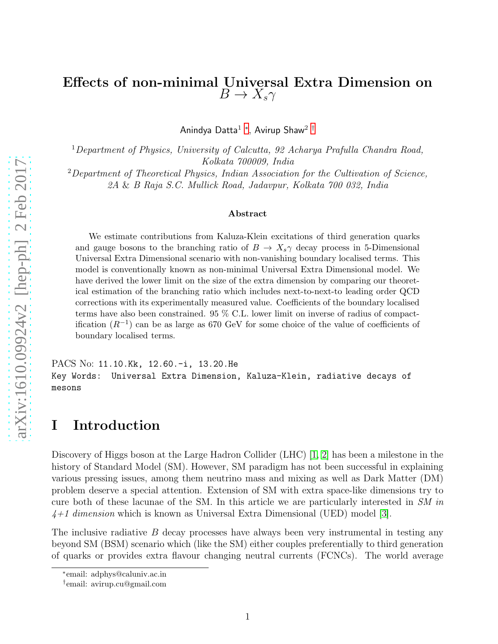## Effects of non-minimal Universal Extra Dimension on  $B \to X_s \gamma$

Anindya Datta $^1$  \*, Avirup Shaw $^2$  [†](#page-0-1)

<sup>1</sup>Department of Physics, University of Calcutta, 92 Acharya Prafulla Chandra Road, Kolkata 700009, India

<sup>2</sup>Department of Theoretical Physics, Indian Association for the Cultivation of Science, 2A & B Raja S.C. Mullick Road, Jadavpur, Kolkata 700 032, India

#### Abstract

We estimate contributions from Kaluza-Klein excitations of third generation quarks and gauge bosons to the branching ratio of  $B \to X_s \gamma$  decay process in 5-Dimensional Universal Extra Dimensional scenario with non-vanishing boundary localised terms. This model is conventionally known as non-minimal Universal Extra Dimensional model. We have derived the lower limit on the size of the extra dimension by comparing our theoretical estimation of the branching ratio which includes next-to-next-to leading order QCD corrections with its experimentally measured value. Coefficients of the boundary localised terms have also been constrained. 95 % C.L. lower limit on inverse of radius of compactification  $(R^{-1})$  can be as large as 670 GeV for some choice of the value of coefficients of boundary localised terms.

PACS No: 11.10.Kk, 12.60.-i, 13.20.He Key Words: Universal Extra Dimension, Kaluza-Klein, radiative decays of mesons

#### I Introduction

Discovery of Higgs boson at the Large Hadron Collider (LHC) [\[1,](#page-19-0) [2\]](#page-19-1) has been a milestone in the history of Standard Model (SM). However, SM paradigm has not been successful in explaining various pressing issues, among them neutrino mass and mixing as well as Dark Matter (DM) problem deserve a special attention. Extension of SM with extra space-like dimensions try to cure both of these lacunae of the SM. In this article we are particularly interested in SM in  $4+1$  dimension which is known as Universal Extra Dimensional (UED) model [\[3\]](#page-19-2).

The inclusive radiative  $B$  decay processes have always been very instrumental in testing any beyond SM (BSM) scenario which (like the SM) either couples preferentially to third generation of quarks or provides extra flavour changing neutral currents (FCNCs). The world average

<sup>∗</sup> email: adphys@caluniv.ac.in

<span id="page-0-1"></span><span id="page-0-0"></span><sup>†</sup> email: avirup.cu@gmail.com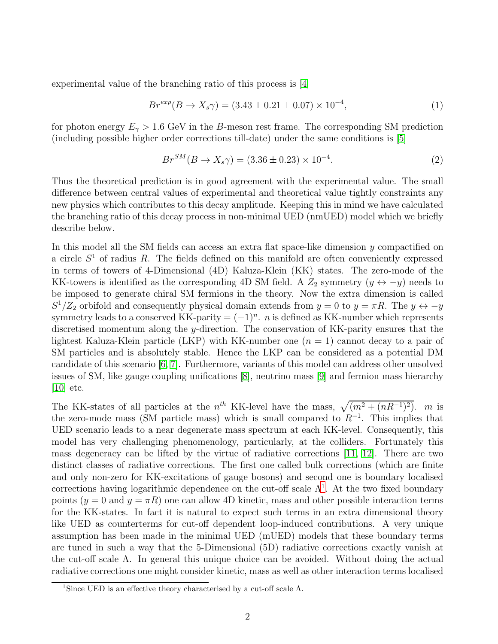experimental value of the branching ratio of this process is [\[4\]](#page-19-3)

<span id="page-1-1"></span>
$$
Br^{exp}(B \to X_s \gamma) = (3.43 \pm 0.21 \pm 0.07) \times 10^{-4},\tag{1}
$$

for photon energy  $E_{\gamma} > 1.6$  GeV in the B-meson rest frame. The corresponding SM prediction (including possible higher order corrections till-date) under the same conditions is [\[5\]](#page-19-4)

<span id="page-1-2"></span>
$$
Br^{SM}(B \to X_s \gamma) = (3.36 \pm 0.23) \times 10^{-4}.
$$
 (2)

Thus the theoretical prediction is in good agreement with the experimental value. The small difference between central values of experimental and theoretical value tightly constraints any new physics which contributes to this decay amplitude. Keeping this in mind we have calculated the branching ratio of this decay process in non-minimal UED (nmUED) model which we briefly describe below.

In this model all the SM fields can access an extra flat space-like dimension  $\gamma$  compactified on a circle  $S<sup>1</sup>$  of radius R. The fields defined on this manifold are often conveniently expressed in terms of towers of 4-Dimensional (4D) Kaluza-Klein (KK) states. The zero-mode of the KK-towers is identified as the corresponding 4D SM field. A  $Z_2$  symmetry  $(y \leftrightarrow -y)$  needs to be imposed to generate chiral SM fermions in the theory. Now the extra dimension is called  $S^1/Z_2$  orbifold and consequently physical domain extends from  $y = 0$  to  $y = \pi R$ . The  $y \leftrightarrow -y$ symmetry leads to a conserved KK-parity  $=(-1)^n$ . *n* is defined as KK-number which represents discretised momentum along the y-direction. The conservation of KK-parity ensures that the lightest Kaluza-Klein particle (LKP) with KK-number one  $(n = 1)$  cannot decay to a pair of SM particles and is absolutely stable. Hence the LKP can be considered as a potential DM candidate of this scenario [\[6,](#page-19-5) [7\]](#page-20-0). Furthermore, variants of this model can address other unsolved issues of SM, like gauge coupling unifications [\[8\]](#page-20-1), neutrino mass [\[9\]](#page-20-2) and fermion mass hierarchy  $[10]$  etc.

The KK-states of all particles at the  $n^{th}$  KK-level have the mass,  $\sqrt{(m^2 + (nR^{-1})^2)}$ . m is the zero-mode mass (SM particle mass) which is small compared to  $R^{-1}$ . This implies that UED scenario leads to a near degenerate mass spectrum at each KK-level. Consequently, this model has very challenging phenomenology, particularly, at the colliders. Fortunately this mass degeneracy can be lifted by the virtue of radiative corrections [\[11,](#page-20-4) [12\]](#page-20-5). There are two distinct classes of radiative corrections. The first one called bulk corrections (which are finite and only non-zero for KK-excitations of gauge bosons) and second one is boundary localised corrections having logarithmic dependence on the cut-off scale  $\Lambda^1$  $\Lambda^1$ . At the two fixed boundary points  $(y = 0$  and  $y = \pi R$ ) one can allow 4D kinetic, mass and other possible interaction terms for the KK-states. In fact it is natural to expect such terms in an extra dimensional theory like UED as counterterms for cut-off dependent loop-induced contributions. A very unique assumption has been made in the minimal UED (mUED) models that these boundary terms are tuned in such a way that the 5-Dimensional (5D) radiative corrections exactly vanish at the cut-off scale  $\Lambda$ . In general this unique choice can be avoided. Without doing the actual radiative corrections one might consider kinetic, mass as well as other interaction terms localised

<span id="page-1-0"></span><sup>&</sup>lt;sup>1</sup>Since UED is an effective theory characterised by a cut-off scale  $\Lambda$ .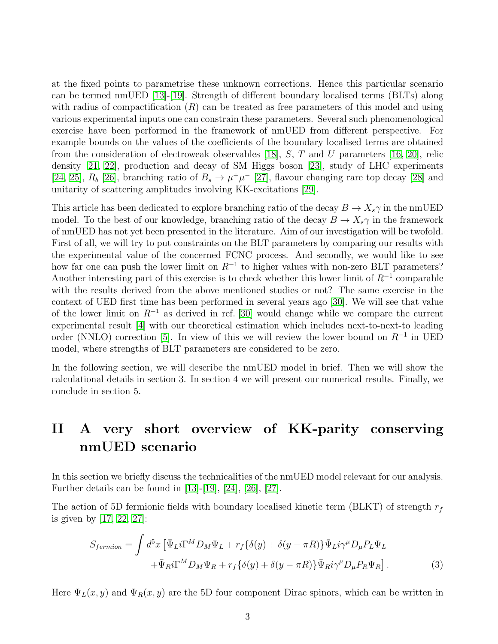at the fixed points to parametrise these unknown corrections. Hence this particular scenario can be termed nmUED [\[13\]](#page-20-6)-[\[19\]](#page-20-7). Strength of different boundary localised terms (BLTs) along with radius of compactification  $(R)$  can be treated as free parameters of this model and using various experimental inputs one can constrain these parameters. Several such phenomenological exercise have been performed in the framework of nmUED from different perspective. For example bounds on the values of the coefficients of the boundary localised terms are obtained from the consideration of electroweak observables [\[18\]](#page-20-8), S, T and U parameters [\[16,](#page-20-9) [20\]](#page-20-10), relic density [\[21,](#page-20-11) [22\]](#page-21-0), production and decay of SM Higgs boson [\[23\]](#page-21-1), study of LHC experiments [\[24,](#page-21-2) [25\]](#page-21-3),  $R_b$  [\[26\]](#page-21-4), branching ratio of  $B_s \to \mu^+\mu^-$  [\[27\]](#page-21-5), flavour changing rare top decay [\[28\]](#page-21-6) and unitarity of scattering amplitudes involving KK-excitations [\[29\]](#page-21-7).

This article has been dedicated to explore branching ratio of the decay  $B \to X_s \gamma$  in the nmUED model. To the best of our knowledge, branching ratio of the decay  $B \to X_s \gamma$  in the framework of nmUED has not yet been presented in the literature. Aim of our investigation will be twofold. First of all, we will try to put constraints on the BLT parameters by comparing our results with the experimental value of the concerned FCNC process. And secondly, we would like to see how far one can push the lower limit on  $R^{-1}$  to higher values with non-zero BLT parameters? Another interesting part of this exercise is to check whether this lower limit of  $R^{-1}$  comparable with the results derived from the above mentioned studies or not? The same exercise in the context of UED first time has been performed in several years ago [\[30\]](#page-21-8). We will see that value of the lower limit on  $R^{-1}$  as derived in ref. [\[30\]](#page-21-8) would change while we compare the current experimental result [\[4\]](#page-19-3) with our theoretical estimation which includes next-to-next-to leading order (NNLO) correction [\[5\]](#page-19-4). In view of this we will review the lower bound on  $R^{-1}$  in UED model, where strengths of BLT parameters are considered to be zero.

In the following section, we will describe the nmUED model in brief. Then we will show the calculational details in section 3. In section 4 we will present our numerical results. Finally, we conclude in section 5.

## II A very short overview of KK-parity conserving nmUED scenario

In this section we briefly discuss the technicalities of the nmUED model relevant for our analysis. Further details can be found in [\[13\]](#page-20-6)-[\[19\]](#page-20-7), [\[24\]](#page-21-2), [\[26\]](#page-21-4), [\[27\]](#page-21-5).

The action of 5D fermionic fields with boundary localised kinetic term (BLKT) of strength  $r_f$ is given by [\[17,](#page-20-12) [22,](#page-21-0) [27\]](#page-21-5):

<span id="page-2-0"></span>
$$
S_{fermion} = \int d^5x \left[ \bar{\Psi}_L i \Gamma^M D_M \Psi_L + r_f \{ \delta(y) + \delta(y - \pi R) \} \bar{\Psi}_L i \gamma^\mu D_\mu P_L \Psi_L \right. \left. + \bar{\Psi}_R i \Gamma^M D_M \Psi_R + r_f \{ \delta(y) + \delta(y - \pi R) \} \bar{\Psi}_R i \gamma^\mu D_\mu P_R \Psi_R \right].
$$
\n(3)

Here  $\Psi_L(x, y)$  and  $\Psi_R(x, y)$  are the 5D four component Dirac spinors, which can be written in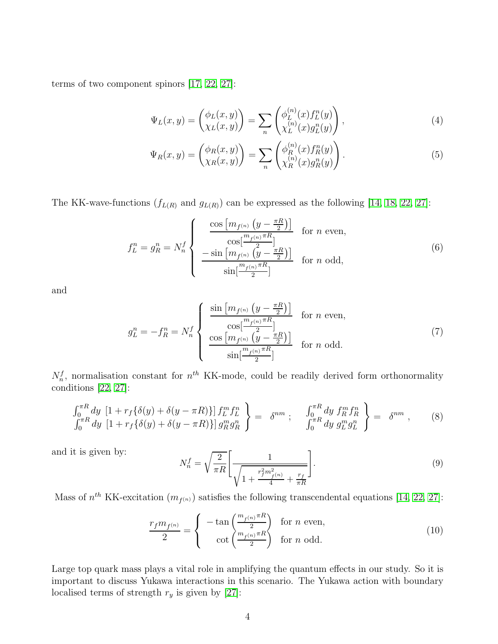terms of two component spinors [\[17,](#page-20-12) [22,](#page-21-0) [27\]](#page-21-5):

<span id="page-3-0"></span>
$$
\Psi_L(x,y) = \begin{pmatrix} \phi_L(x,y) \\ \chi_L(x,y) \end{pmatrix} = \sum_n \begin{pmatrix} \phi_L^{(n)}(x) f_L^n(y) \\ \chi_L^{(n)}(x) g_L^n(y) \end{pmatrix},\tag{4}
$$

<span id="page-3-1"></span>
$$
\Psi_R(x,y) = \begin{pmatrix} \phi_R(x,y) \\ \chi_R(x,y) \end{pmatrix} = \sum_n \begin{pmatrix} \phi_R^{(n)}(x) f_R^n(y) \\ \chi_R^{(n)}(x) g_R^n(y) \end{pmatrix} . \tag{5}
$$

The KK-wave-functions  $(f_{L(R)}$  and  $g_{L(R)}$ ) can be expressed as the following [\[14,](#page-20-13) [18,](#page-20-8) [22,](#page-21-0) [27\]](#page-21-5):

$$
f_L^n = g_R^n = N_n^f \begin{cases} \frac{\cos \left[m_{f^{(n)}} \left(y - \frac{\pi R}{2}\right)\right]}{\cos\left[\frac{m_{f^{(n)}} \pi R}{2}\right]} & \text{for } n \text{ even,} \\ -\sin \left[m_{f^{(n)}} \left(\frac{y - \frac{\pi R}{2}\right)\right]}{\sin\left[\frac{m_{f^{(n)}} \pi R}{2}\right]} & \text{for } n \text{ odd,} \end{cases}
$$
(6)

and

$$
g_L^n = -f_R^n = N_n^f \begin{cases} \frac{\sin \left[m_{f^{(n)}} \left(y - \frac{\pi R}{2}\right)\right]}{\cos\left[\frac{m_{f^{(n)}} \pi R}{2}\right]} & \text{for } n \text{ even,} \\ \frac{\cos\left[m_{f^{(n)}} \left(y - \frac{\pi R}{2}\right)\right]}{\sin\left[\frac{m_{f^{(n)}} \pi R}{2}\right]} & \text{for } n \text{ odd.} \end{cases} \tag{7}
$$

 $N_n^f$ , normalisation constant for  $n^{th}$  KK-mode, could be readily derived form orthonormality conditions [\[22,](#page-21-0) [27\]](#page-21-5):

$$
\begin{aligned}\n\int_0^{\pi R} dy \, \left[ 1 + r_f \{ \delta(y) + \delta(y - \pi R) \} \right] f_L^m f_L^n \\
\int_0^{\pi R} dy \, \left[ 1 + r_f \{ \delta(y) + \delta(y - \pi R) \} \right] g_R^m g_R^n\n\end{aligned} = \n\delta^{nm} ; \n\quad\n\begin{aligned}\n\int_0^{\pi R} dy \, f_R^m f_R^n \\
\int_0^{\pi R} dy \, g_L^m g_L^n\n\end{aligned}\n\right\} = \n\delta^{nm} , \n\tag{8}
$$

and it is given by:

<span id="page-3-3"></span>
$$
N_n^f = \sqrt{\frac{2}{\pi R}} \left[ \frac{1}{\sqrt{1 + \frac{r_f^2 m_{f(n)}^2}{4} + \frac{r_f}{\pi R}}} \right].
$$
\n(9)

Mass of  $n^{th}$  KK-excitation  $(m_{f^{(n)}})$  satisfies the following transcendental equations [\[14,](#page-20-13) [22,](#page-21-0) [27\]](#page-21-5):

<span id="page-3-2"></span>
$$
\frac{r_f m_{f^{(n)}}}{2} = \begin{cases} -\tan\left(\frac{m_{f^{(n)}} \pi R}{2}\right) & \text{for } n \text{ even,} \\ \cot\left(\frac{m_{f^{(n)}} \pi R}{2}\right) & \text{for } n \text{ odd.} \end{cases}
$$
 (10)

Large top quark mass plays a vital role in amplifying the quantum effects in our study. So it is important to discuss Yukawa interactions in this scenario. The Yukawa action with boundary localised terms of strength  $r_y$  is given by [\[27\]](#page-21-5):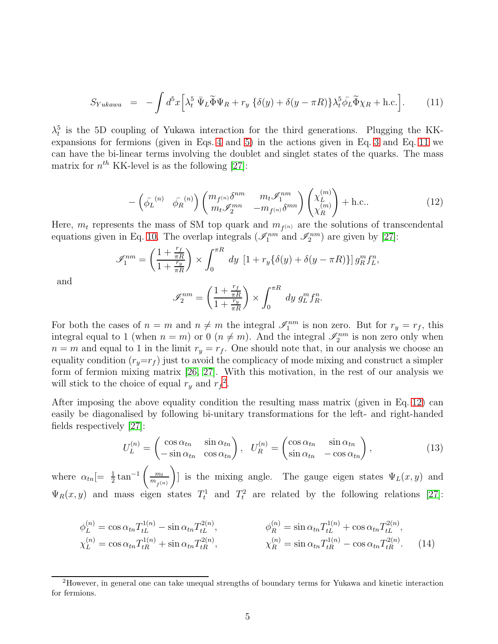<span id="page-4-0"></span>
$$
S_{Yukawa} = -\int d^5x \Big[ \lambda_t^5 \, \bar{\Psi}_L \tilde{\Phi} \Psi_R + r_y \, \{ \delta(y) + \delta(y - \pi R) \} \lambda_t^5 \bar{\phi}_L \tilde{\Phi} \chi_R + \text{h.c.} \Big]. \tag{11}
$$

 $\lambda_t^5$  is the 5D coupling of Yukawa interaction for the third generations. Plugging the KKexpansions for fermions (given in Eqs. [4](#page-3-0) and [5\)](#page-3-1) in the actions given in Eq. [3](#page-2-0) and Eq. [11](#page-4-0) we can have the bi-linear terms involving the doublet and singlet states of the quarks. The mass matrix for  $n^{th}$  KK-level is as the following [\[27\]](#page-21-5):

<span id="page-4-2"></span>
$$
-\left(\bar{\phi_L}^{(n)} \quad \bar{\phi_R}^{(n)}\right) \begin{pmatrix} m_{f^{(n)}} \delta^{nm} & m_t \mathscr{I}_1^{nm} \\ m_t \mathscr{I}_2^{mn} & -m_{f^{(n)}} \delta^{mn} \end{pmatrix} \begin{pmatrix} \chi_L^{(m)} \\ \chi_R^{(m)} \end{pmatrix} + \text{h.c.}. \tag{12}
$$

Here,  $m_t$  represents the mass of SM top quark and  $m_{f^{(n)}}$  are the solutions of transcendental equations given in Eq. [10.](#page-3-2) The overlap integrals  $(\mathscr{I}_1^{nm}$  and  $\mathscr{I}_2^{nm})$  are given by [\[27\]](#page-21-5):

$$
\mathscr{I}_1^{nm} = \left(\frac{1 + \frac{r_f}{\pi R}}{1 + \frac{r_y}{\pi R}}\right) \times \int_0^{\pi R} dy \left[1 + r_y \{\delta(y) + \delta(y - \pi R)\}\right] g_R^m f_L^n,
$$
\n
$$
(1 + \frac{r_f}{\pi R}) \qquad \mathscr{E}_1^{nR}
$$

and

$$
\mathscr{I}_2^{nm} = \left(\frac{1 + \frac{r_f}{\pi R}}{1 + \frac{r_y}{\pi R}}\right) \times \int_0^{\pi R} dy \ g_L^m f_R^n.
$$

For both the cases of  $n = m$  and  $n \neq m$  the integral  $\mathscr{I}_1^{nm}$  is non zero. But for  $r_y = r_f$ , this integral equal to 1 (when  $n = m$ ) or 0 ( $n \neq m$ ). And the integral  $\mathscr{I}_2^{nm}$  is non zero only when  $n = m$  and equal to 1 in the limit  $r_y = r_f$ . One should note that, in our analysis we choose an equality condition  $(r_y=r_f)$  just to avoid the complicacy of mode mixing and construct a simpler form of fermion mixing matrix [\[26,](#page-21-4) [27\]](#page-21-5). With this motivation, in the rest of our analysis we will stick to the choice of equal  $r_y$  and  $r_f^2$  $r_f^2$ .

After imposing the above equality condition the resulting mass matrix (given in Eq. [12\)](#page-4-2) can easily be diagonalised by following bi-unitary transformations for the left- and right-handed fields respectively [\[27\]](#page-21-5):

$$
U_L^{(n)} = \begin{pmatrix} \cos \alpha_{tn} & \sin \alpha_{tn} \\ -\sin \alpha_{tn} & \cos \alpha_{tn} \end{pmatrix}, \quad U_R^{(n)} = \begin{pmatrix} \cos \alpha_{tn} & \sin \alpha_{tn} \\ \sin \alpha_{tn} & -\cos \alpha_{tn} \end{pmatrix}, \tag{13}
$$

where  $\alpha_{tn}$  =  $\frac{1}{2} \tan^{-1}$  $\left( \frac{m_t}{m_t} \right)$  $m_{f}(n)$  $\setminus$ ] is the mixing angle. The gauge eigen states  $\Psi_L(x, y)$  and  $\Psi_R(x, y)$  and mass eigen states  $T_t^1$  and  $T_t^2$  are related by the following relations [\[27\]](#page-21-5):

$$
\phi_L^{(n)} = \cos \alpha_{tn} T_{tL}^{1(n)} - \sin \alpha_{tn} T_{tL}^{2(n)}, \qquad \phi_R^{(n)} = \sin \alpha_{tn} T_{tL}^{1(n)} + \cos \alpha_{tn} T_{tL}^{2(n)},
$$
  
\n
$$
\chi_L^{(n)} = \cos \alpha_{tn} T_{tR}^{1(n)} + \sin \alpha_{tn} T_{tR}^{2(n)}, \qquad \chi_R^{(n)} = \sin \alpha_{tn} T_{tR}^{1(n)} - \cos \alpha_{tn} T_{tR}^{2(n)}.
$$
\n(14)

<span id="page-4-1"></span><sup>2</sup>However, in general one can take unequal strengths of boundary terms for Yukawa and kinetic interaction for fermions.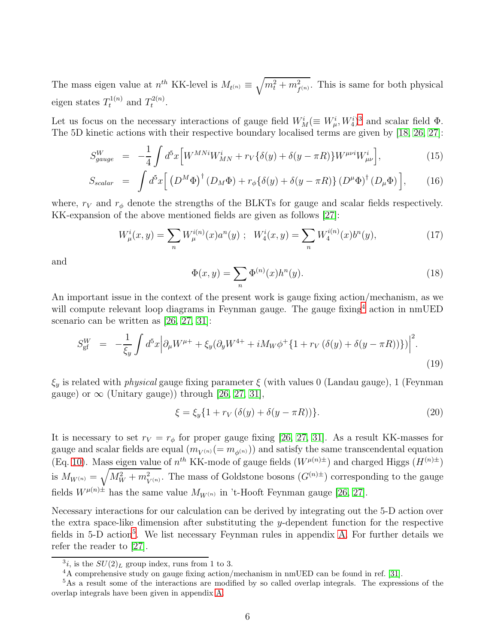The mass eigen value at  $n^{th}$  KK-level is  $M_{t^{(n)}} \equiv$  $\sqrt{m_t^2 + m_{f^{(n)}}^2}$ . This is same for both physical eigen states  $T_t^{1(n)}$  and  $T_t^{2(n)}$  $t^{2(n)}$ .

Let us focus on the necessary interactions of gauge field  $W_M^i (\equiv W_\mu^i, W_4^i)^3$  $W_M^i (\equiv W_\mu^i, W_4^i)^3$  and scalar field  $\Phi$ . The 5D kinetic actions with their respective boundary localised terms are given by [\[18,](#page-20-8) [26,](#page-21-4) [27\]](#page-21-5):

$$
S_{gauge}^{W} = -\frac{1}{4} \int d^{5}x \Big[ W^{MNi} W_{MN}^{i} + r_{V} \{ \delta(y) + \delta(y - \pi R) \} W^{\mu\nu i} W_{\mu\nu}^{i} \Big], \tag{15}
$$

$$
S_{scalar} = \int d^5x \left[ \left( D^M \Phi \right)^{\dagger} \left( D_M \Phi \right) + r_{\phi} \{ \delta(y) + \delta(y - \pi R) \} \left( D^{\mu} \Phi \right)^{\dagger} \left( D_{\mu} \Phi \right) \right], \tag{16}
$$

where,  $r_V$  and  $r_{\phi}$  denote the strengths of the BLKTs for gauge and scalar fields respectively. KK-expansion of the above mentioned fields are given as follows [\[27\]](#page-21-5):

$$
W_{\mu}^{i}(x,y) = \sum_{n} W_{\mu}^{i(n)}(x)a^{n}(y) \; ; \; W_{4}^{i}(x,y) = \sum_{n} W_{4}^{i(n)}(x)b^{n}(y), \tag{17}
$$

and

$$
\Phi(x,y) = \sum_{n} \Phi^{(n)}(x) h^n(y). \tag{18}
$$

An important issue in the context of the present work is gauge fixing action/mechanism, as we will compute relevant loop diagrams in Feynman gauge. The gauge fixing<sup>[4](#page-5-1)</sup> action in nmUED scenario can be written as [\[26,](#page-21-4) [27,](#page-21-5) [31\]](#page-21-9):

$$
S_{\rm gf}^W = -\frac{1}{\xi_y} \int d^5 x \Big| \partial_\mu W^{\mu+} + \xi_y (\partial_y W^{4+} + i M_W \phi^+ \{1 + r_V (\delta(y) + \delta(y - \pi R))\}) \Big|^2.
$$
\n(19)

 $\xi_y$  is related with *physical* gauge fixing parameter  $\xi$  (with values 0 (Landau gauge), 1 (Feynman gauge) or  $\infty$  (Unitary gauge)) through [\[26,](#page-21-4) [27,](#page-21-5) [31\]](#page-21-9),

$$
\xi = \xi_y \{ 1 + r_V \left( \delta(y) + \delta(y - \pi R) \right) \}.
$$
\n(20)

It is necessary to set  $r_V = r_\phi$  for proper gauge fixing [\[26,](#page-21-4) [27,](#page-21-5) [31\]](#page-21-9). As a result KK-masses for gauge and scalar fields are equal  $(m_{V^{(n)}} (= m_{\phi^{(n)}}))$  and satisfy the same transcendental equation (Eq. [10\)](#page-3-2). Mass eigen value of  $n^{th}$  KK-mode of gauge fields  $(W^{\mu(n)\pm})$  and charged Higgs  $(H^{(n)\pm})$ is  $M_{W^{(n)}} = \sqrt{M_W^2 + m_{V^{(n)}}^2}$ . The mass of Goldstone bosons  $(G^{(n)\pm})$  corresponding to the gauge fields  $W^{\mu(n)\pm}$  has the same value  $M_{W^{(n)}}$  in 't-Hooft Feynman gauge [\[26,](#page-21-4) [27\]](#page-21-5).

Necessary interactions for our calculation can be derived by integrating out the 5-D action over the extra space-like dimension after substituting the y-dependent function for the respective fields in [5](#page-5-2)-D action<sup>5</sup>. We list necessary Feynman rules in appendix [A.](#page-16-0) For further details we refer the reader to [\[27\]](#page-21-5).

 $3i$ , is the  $SU(2)_L$  group index, runs from 1 to 3.

<span id="page-5-1"></span><span id="page-5-0"></span><sup>4</sup>A comprehensive study on gauge fixing action/mechanism in nmUED can be found in ref. [\[31\]](#page-21-9).

<span id="page-5-2"></span><sup>5</sup>As a result some of the interactions are modified by so called overlap integrals. The expressions of the overlap integrals have been given in appendix [A.](#page-16-0)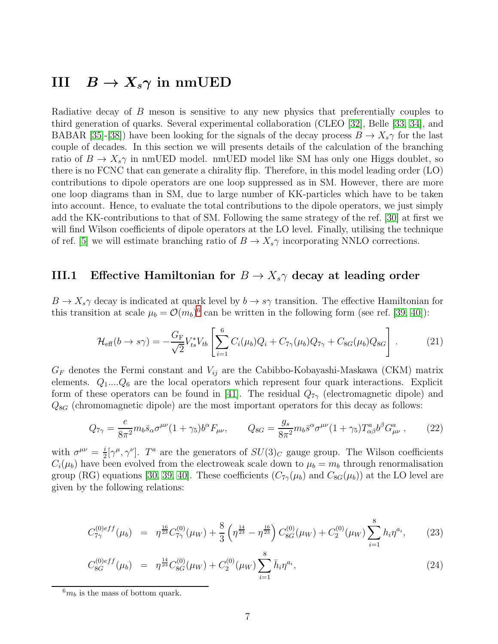### III  $B \to X_s \gamma$  in nmUED

Radiative decay of B meson is sensitive to any new physics that preferentially couples to third generation of quarks. Several experimental collaboration (CLEO [\[32\]](#page-21-10), Belle [\[33,](#page-21-11) [34\]](#page-21-12), and BABAR [\[35\]](#page-21-13)-[\[38\]](#page-21-14)) have been looking for the signals of the decay process  $B \to X_s \gamma$  for the last couple of decades. In this section we will presents details of the calculation of the branching ratio of  $B \to X_s \gamma$  in nmUED model. nmUED model like SM has only one Higgs doublet, so there is no FCNC that can generate a chirality flip. Therefore, in this model leading order (LO) contributions to dipole operators are one loop suppressed as in SM. However, there are more one loop diagrams than in SM, due to large number of KK-particles which have to be taken into account. Hence, to evaluate the total contributions to the dipole operators, we just simply add the KK-contributions to that of SM. Following the same strategy of the ref. [\[30\]](#page-21-8) at first we will find Wilson coefficients of dipole operators at the LO level. Finally, utilising the technique of ref. [\[5\]](#page-19-4) we will estimate branching ratio of  $B \to X_s \gamma$  incorporating NNLO corrections.

#### III.1 Effective Hamiltonian for  $B \to X_s \gamma$  decay at leading order

 $B \to X_s \gamma$  decay is indicated at quark level by  $b \to s\gamma$  transition. The effective Hamiltonian for this transition at scale  $\mu_b = \mathcal{O}(m_b)^6$  $\mu_b = \mathcal{O}(m_b)^6$  can be written in the following form (see ref. [\[39,](#page-21-15) [40\]](#page-21-16)):

$$
\mathcal{H}_{\text{eff}}(b \to s\gamma) = -\frac{G_{\text{F}}}{\sqrt{2}} V_{ts}^* V_{tb} \left[ \sum_{i=1}^6 C_i(\mu_b) Q_i + C_{7\gamma}(\mu_b) Q_{7\gamma} + C_{8G}(\mu_b) Q_{8G} \right]. \tag{21}
$$

 $G_F$  denotes the Fermi constant and  $V_{ij}$  are the Cabibbo-Kobayashi-Maskawa (CKM) matrix elements.  $Q_1...Q_6$  are the local operators which represent four quark interactions. Explicit form of these operators can be found in [\[41\]](#page-22-0). The residual  $Q_{7\gamma}$  (electromagnetic dipole) and  $Q_{8G}$  (chromomagnetic dipole) are the most important operators for this decay as follows:

$$
Q_{7\gamma} = \frac{e}{8\pi^2} m_b \bar{s}_{\alpha} \sigma^{\mu\nu} (1 + \gamma_5) b^{\alpha} F_{\mu\nu}, \qquad Q_{8G} = \frac{g_s}{8\pi^2} m_b \bar{s}^{\alpha} \sigma^{\mu\nu} (1 + \gamma_5) T^a_{\alpha\beta} b^{\beta} G^a_{\mu\nu} , \qquad (22)
$$

with  $\sigma^{\mu\nu} = \frac{i}{2}$  $\frac{i}{2} [\gamma^{\mu}, \gamma^{\nu}]$ . T<sup>a</sup> are the generators of  $SU(3)_C$  gauge group. The Wilson coefficients  $C_i(\mu_b)$  have been evolved from the electroweak scale down to  $\mu_b = m_b$  through renormalisation group (RG) equations [\[30,](#page-21-8) [39,](#page-21-15) [40\]](#page-21-16). These coefficients  $(C_{7\gamma}(\mu_b)$  and  $C_{8G}(\mu_b))$  at the LO level are given by the following relations:

$$
C_{7\gamma}^{(0)eff}(\mu_b) = \eta^{\frac{16}{23}} C_{7\gamma}^{(0)}(\mu_W) + \frac{8}{3} \left( \eta^{\frac{14}{23}} - \eta^{\frac{16}{23}} \right) C_{8G}^{(0)}(\mu_W) + C_2^{(0)}(\mu_W) \sum_{i=1}^8 h_i \eta^{a_i}, \tag{23}
$$

$$
C_{8G}^{(0)eff}(\mu_b) = \eta^{\frac{14}{23}} C_{8G}^{(0)}(\mu_W) + C_2^{(0)}(\mu_W) \sum_{i=1}^8 \bar{h}_i \eta^{a_i}, \tag{24}
$$

<span id="page-6-0"></span> $^{6}m_b$  is the mass of bottom quark.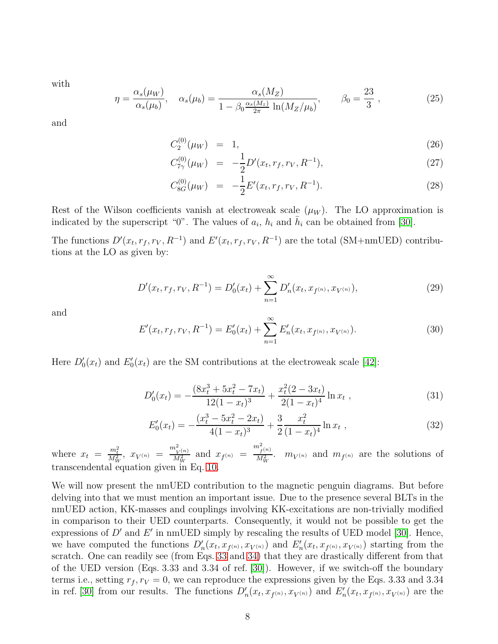with

$$
\eta = \frac{\alpha_s(\mu_W)}{\alpha_s(\mu_b)}, \quad \alpha_s(\mu_b) = \frac{\alpha_s(M_Z)}{1 - \beta_0 \frac{\alpha_s(M_Z)}{2\pi} \ln(M_Z/\mu_b)}, \qquad \beta_0 = \frac{23}{3}, \qquad (25)
$$

and

$$
C_2^{(0)}(\mu_W) = 1, \t\t(26)
$$

$$
C_{7\gamma}^{(0)}(\mu_W) = -\frac{1}{2}D'(x_t, r_f, r_V, R^{-1}), \qquad (27)
$$

$$
C_{8G}^{(0)}(\mu_W) = -\frac{1}{2}E'(x_t, r_f, r_V, R^{-1}).
$$
\n(28)

Rest of the Wilson coefficients vanish at electroweak scale  $(\mu_W)$ . The LO approximation is indicated by the superscript "0". The values of  $a_i$ ,  $h_i$  and  $\bar{h}_i$  can be obtained from [\[30\]](#page-21-8).

The functions  $D'(x_t, r_f, r_V, R^{-1})$  and  $E'(x_t, r_f, r_V, R^{-1})$  are the total (SM+nmUED) contributions at the LO as given by:

<span id="page-7-0"></span>
$$
D'(x_t, r_f, r_V, R^{-1}) = D'_0(x_t) + \sum_{n=1}^{\infty} D'_n(x_t, x_{f^{(n)}}, x_{V^{(n)}}),
$$
\n(29)

and

<span id="page-7-1"></span>
$$
E'(x_t, r_f, r_V, R^{-1}) = E'_0(x_t) + \sum_{n=1}^{\infty} E'_n(x_t, x_{f^{(n)}}, x_{V^{(n)}}).
$$
\n(30)

Here  $D'_0(x_t)$  and  $E'_0(x_t)$  are the SM contributions at the electroweak scale [\[42\]](#page-22-1):

$$
D_0'(x_t) = -\frac{(8x_t^3 + 5x_t^2 - 7x_t)}{12(1 - x_t)^3} + \frac{x_t^2(2 - 3x_t)}{2(1 - x_t)^4} \ln x_t,
$$
\n(31)

$$
E'_0(x_t) = -\frac{(x_t^3 - 5x_t^2 - 2x_t)}{4(1 - x_t)^3} + \frac{3}{2} \frac{x_t^2}{(1 - x_t)^4} \ln x_t,
$$
\n(32)

where  $x_t = \frac{m_t^2}{M_W^2}$ ,  $x_{V^{(n)}} = \frac{m_{V^{(n)}}^2}{M_W^2}$  and  $x_{f^{(n)}} =$  $m^2_{f^{(n)}}$  $\frac{f^{(n)}}{M_W^2}$ .  $m_{V^{(n)}}$  and  $m_{f^{(n)}}$  are the solutions of transcendental equation given in Eq. [10.](#page-3-2)

We will now present the nmUED contribution to the magnetic penguin diagrams. But before delving into that we must mention an important issue. Due to the presence several BLTs in the nmUED action, KK-masses and couplings involving KK-excitations are non-trivially modified in comparison to their UED counterparts. Consequently, it would not be possible to get the expressions of  $D'$  and  $E'$  in nmUED simply by rescaling the results of UED model [\[30\]](#page-21-8). Hence, we have computed the functions  $D'_n(x_t, x_{f^{(n)}}, x_{V^{(n)}})$  and  $E'_n(x_t, x_{f^{(n)}}, x_{V^{(n)}})$  starting from the scratch. One can readily see (from Eqs. [33](#page-9-0) and [34\)](#page-10-0) that they are drastically different from that of the UED version (Eqs. 3.33 and 3.34 of ref. [\[30\]](#page-21-8)). However, if we switch-off the boundary terms i.e., setting  $r_f, r_V = 0$ , we can reproduce the expressions given by the Eqs. 3.33 and 3.34 in ref. [\[30\]](#page-21-8) from our results. The functions  $D'_n(x_t, x_{f^{(n)}}, x_{V^{(n)}})$  and  $E'_n(x_t, x_{f^{(n)}}, x_{V^{(n)}})$  are the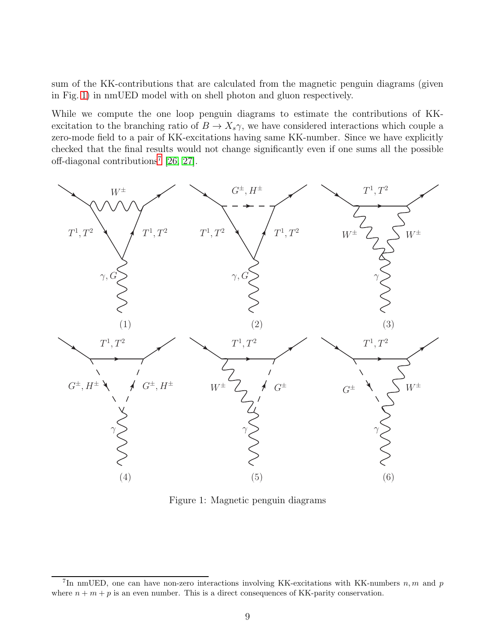sum of the KK-contributions that are calculated from the magnetic penguin diagrams (given in Fig. [1\)](#page-8-0) in nmUED model with on shell photon and gluon respectively.

While we compute the one loop penguin diagrams to estimate the contributions of KKexcitation to the branching ratio of  $B \to X_s \gamma$ , we have considered interactions which couple a zero-mode field to a pair of KK-excitations having same KK-number. Since we have explicitly checked that the final results would not change significantly even if one sums all the possible off-diagonal contributions<sup>[7](#page-8-1)</sup> [\[26,](#page-21-4) [27\]](#page-21-5).



<span id="page-8-0"></span>Figure 1: Magnetic penguin diagrams

<span id="page-8-1"></span><sup>&</sup>lt;sup>7</sup>In nmUED, one can have non-zero interactions involving KK-excitations with KK-numbers  $n, m$  and  $p$ where  $n + m + p$  is an even number. This is a direct consequences of KK-parity conservation.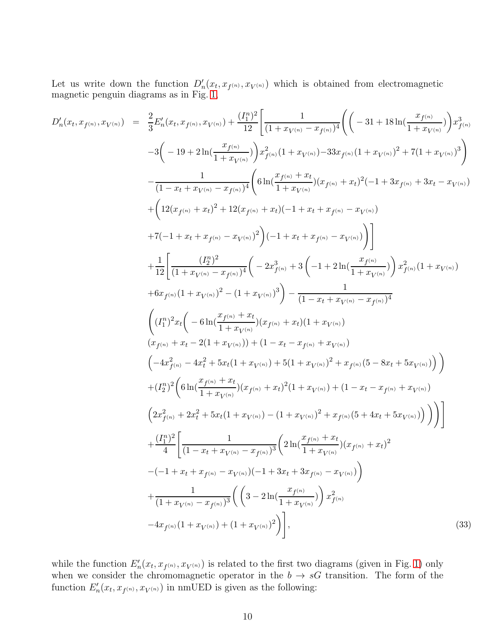Let us write down the function  $D'_n(x_t, x_{f^{(n)}}, x_{V^{(n)}})$  which is obtained from electromagnetic magnetic penguin diagrams as in Fig. [1,](#page-8-0)

<span id="page-9-0"></span>
$$
D'_{n}(x_{t}, x_{f^{(n)}}, x_{V^{(n)}}) = \frac{2}{3} E'_{n}(x_{t}, x_{f^{(n)}}, x_{V^{(n)}}) + \frac{(T_{1}^{n})^{2}}{12} \left[ \frac{1}{(1 + x_{V^{(n)}} - x_{f^{(n)}})^{4}} \left( \left( -31 + 18 \ln(\frac{x_{f^{(n)}}}{1 + x_{V^{(n)}}}) \right) x_{f^{(n)}}^{3} \right) \right]
$$
  
\n
$$
-3 \left( -19 + 2 \ln(\frac{x_{f^{(n)}}}{1 + x_{V^{(n)}}}) x_{f^{(n)}}^{2} (1 + x_{V^{(n)}}) - 33x_{f^{(n)}} (1 + x_{V^{(n)}})^{2} + 7(1 + x_{V^{(n)}})^{3} \right)
$$
  
\n
$$
- \frac{1}{(1 - x_{t} + x_{V^{(n)}} - x_{f^{(n)}})^{2}} \left( 6 \ln(\frac{x_{f^{(n)}} + x_{t}}{1 + x_{V^{(n)}}}) (x_{f^{(n)}} + x_{t})^{2} (-1 + 3x_{f^{(n)}} + 3x_{t} - x_{V^{(n)}}) \right)
$$
  
\n
$$
+ \left( 12(x_{f^{(n)}} + x_{t})^{2} + 12(x_{f^{(n)}} + x_{t}) (-1 + x_{t} + x_{f^{(n)}} - x_{V^{(n)}}) \right)
$$
  
\n
$$
+ 7(-1 + x_{t} + x_{f^{(n)}} - x_{V^{(n)}})^{2} \right) (-1 + x_{t} + x_{f^{(n)}} - x_{V^{(n)}}) \right)
$$
  
\n
$$
+ 6x_{f^{(n)}} (1 + x_{V^{(n)}})^{2} - (1 + x_{V^{(n)}})^{3} \right)
$$
  
\n
$$
+ 6x_{f^{(n)}} (1 + x_{V^{(n)}})^{2} - (1 + x_{V^{(n)}})^{3} \right) - \frac{1}{(1 - x_{t} + x_{V^{(n)}})} x_{f^{(n)}}^{2} (1 + x_{V^{(n)}})
$$
  
\n
$$
+ 6x_{f^{(n)}} (1 + x_{V^{(n)}})^{2} - (1 + x_{V^{(n)}})^{3} \right)
$$
  
\n
$$
\left( (I_{1
$$

while the function  $E'_n(x_t, x_{f^{(n)}}, x_{V^{(n)}})$  is related to the first two diagrams (given in Fig. [1\)](#page-8-0) only when we consider the chromomagnetic operator in the  $b \to sG$  transition. The form of the function  $E'_n(x_t, x_{f^{(n)}}, x_{V^{(n)}})$  in nmUED is given as the following: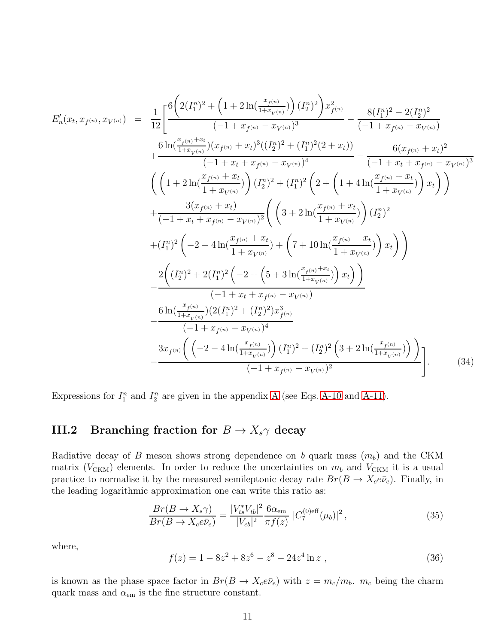<span id="page-10-0"></span>
$$
E'_{n}(x_{t}, x_{f^{(n)}}, x_{V^{(n)}}) = \frac{1}{12} \Bigg[ \frac{6\Big(2(I_{1}^{n})^{2} + \Big(1 + 2\ln(\frac{x_{f^{(n)}}}{1 + x_{V^{(n)}}})\Big)(I_{2}^{n})^{2}\Big)x_{f^{(n)}}^{2}}{(-1 + x_{f^{(n)}} - x_{V^{(n)}})^{3}} - \frac{8(I_{1}^{n})^{2} - 2(I_{2}^{n})^{2}}{(-1 + x_{f^{(n)}} - x_{V^{(n)}})} + \frac{6\ln(\frac{x_{f^{(n)}}}{1 + x_{V^{(n)}}})(x_{f^{(n)}} + x_{t})^{3}((I_{2}^{n})^{2} + (I_{1}^{n})^{2}(2 + x_{t}))}{(-1 + x_{t} + x_{f^{(n)}} - x_{V^{(n)}})^{4}} - \frac{6(x_{f^{(n)}} + x_{t})^{2}}{(-1 + x_{t} + x_{f^{(n)}} - x_{V^{(n)}})^{3}} \Bigg(\Big(1 + 2\ln(\frac{x_{f^{(n)}} + x_{t}}{1 + x_{V^{(n)}}})\Big)(I_{2}^{n})^{2} + (I_{1}^{n})^{2}\Big(2 + \Big(1 + 4\ln(\frac{x_{f^{(n)}} + x_{t}}{1 + x_{V^{(n)}}})\Big)x_{t}\Big)\Bigg) + \frac{3(x_{f^{(n)}} + x_{t})}{(-1 + x_{t} + x_{f^{(n)}} - x_{V^{(n)}})^{2}} \Bigg(\Big(3 + 2\ln(\frac{x_{f^{(n)}} + x_{t}}{1 + x_{V^{(n)}}})\Big)(I_{2}^{n})^{2} + (I_{1}^{n})^{2}\Big(-2 - 4\ln(\frac{x_{f^{(n)}} + x_{t}}{1 + x_{V^{(n)}}}) + \Big(7 + 10\ln(\frac{x_{f^{(n)}} + x_{t}}{1 + x_{V^{(n)}}})\Big)x_{t}\Bigg)\Bigg) - \frac{2\Big((I_{2}^{n})^{2} + 2(I_{1}^{n})^{2}\Big(-2 + \Big(5 + 3\ln(\frac{x_{f^{(n)}} + x_{t}}{1 + x_{V^{(n)}}})\Big)x_{t}\Big)\Big)}{(-1 + x_{t} + x_{f^{(n)}} - x_{V^{(n)}}}\Bigg(\frac{6\ln(\frac{x_{f^{(n)}}}{1 + x_{V^{(n)}}})(
$$

Expressions for  $I_1^n$  and  $I_2^n$  are given in the appendix [A](#page-16-0) (see Eqs. [A-10](#page-19-6) and [A-11\)](#page-19-7).

#### III.2 Branching fraction for  $B \to X_s \gamma$  decay

Radiative decay of B meson shows strong dependence on b quark mass  $(m_b)$  and the CKM matrix ( $V_{\text{CKM}}$ ) elements. In order to reduce the uncertainties on  $m_b$  and  $V_{\text{CKM}}$  it is a usual practice to normalise it by the measured semileptonic decay rate  $Br(B \to X_c e \bar{\nu}_e)$ . Finally, in the leading logarithmic approximation one can write this ratio as:

$$
\frac{Br(B \to X_s \gamma)}{Br(B \to X_c e \bar{\nu}_e)} = \frac{|V_{ts}^* V_{tb}|^2}{|V_{cb}|^2} \frac{6\alpha_{\rm em}}{\pi f(z)} |C_7^{(0)eff}(\mu_b)|^2, \tag{35}
$$

where,

$$
f(z) = 1 - 8z^2 + 8z^6 - z^8 - 24z^4 \ln z \tag{36}
$$

is known as the phase space factor in  $Br(B \to X_c e \bar{\nu}_e)$  with  $z = m_c/m_b$ .  $m_c$  being the charm quark mass and  $\alpha_{em}$  is the fine structure constant.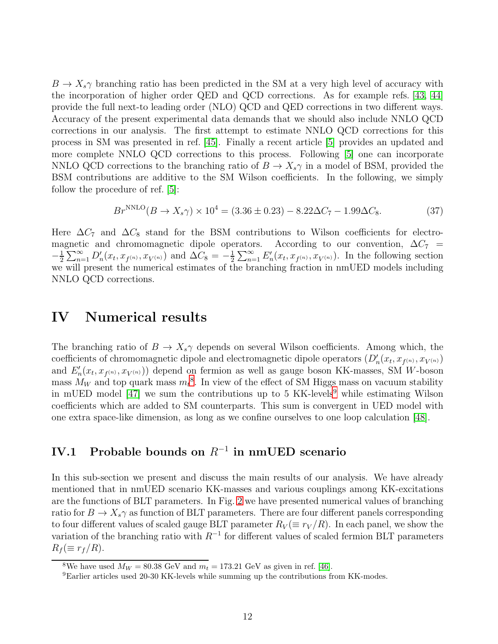$B \to X_s \gamma$  branching ratio has been predicted in the SM at a very high level of accuracy with the incorporation of higher order QED and QCD corrections. As for example refs. [\[43,](#page-22-2) [44\]](#page-22-3) provide the full next-to leading order (NLO) QCD and QED corrections in two different ways. Accuracy of the present experimental data demands that we should also include NNLO QCD corrections in our analysis. The first attempt to estimate NNLO QCD corrections for this process in SM was presented in ref. [\[45\]](#page-22-4). Finally a recent article [\[5\]](#page-19-4) provides an updated and more complete NNLO QCD corrections to this process. Following [\[5\]](#page-19-4) one can incorporate NNLO QCD corrections to the branching ratio of  $B \to X_s \gamma$  in a model of BSM, provided the BSM contributions are additive to the SM Wilson coefficients. In the following, we simply follow the procedure of ref. [\[5\]](#page-19-4):

<span id="page-11-2"></span>
$$
Br^{\text{NNLO}}(B \to X_s \gamma) \times 10^4 = (3.36 \pm 0.23) - 8.22 \Delta C_7 - 1.99 \Delta C_8. \tag{37}
$$

Here  $\Delta C_7$  and  $\Delta C_8$  stand for the BSM contributions to Wilson coefficients for electromagnetic and chromomagnetic dipole operators. According to our convention,  $\Delta C_7$  =  $-\frac{1}{2}$  $\frac{1}{2}\sum_{n=1}^{\infty}D'_{n}(x_{t},x_{f^{(n)}},x_{V^{(n)}})$  and  $\Delta C_{8}=-\frac{1}{2}$  $\frac{1}{2} \sum_{n=1}^{\infty} E'_n(x_t, x_{f^{(n)}}, x_{V^{(n)}})$ . In the following section we will present the numerical estimates of the branching fraction in nmUED models including NNLO QCD corrections.

#### IV Numerical results

The branching ratio of  $B \to X_s \gamma$  depends on several Wilson coefficients. Among which, the coefficients of chromomagnetic dipole and electromagnetic dipole operators  $(D'_n(x_t, x_{f^{(n)}}, x_{V^{(n)}})$ and  $E'_{n}(x_t, x_{f^{(n)}}, x_{V^{(n)}})$  depend on fermion as well as gauge boson KK-masses, SM W-boson mass  $M_W$  and top quark mass  $m_t^8$  $m_t^8$ . In view of the effect of SM Higgs mass on vacuum stability in mUED model  $[47]$  we sum the contributions up to 5 KK-levels<sup>[9](#page-11-1)</sup> while estimating Wilson coefficients which are added to SM counterparts. This sum is convergent in UED model with one extra space-like dimension, as long as we confine ourselves to one loop calculation [\[48\]](#page-22-6).

#### IV.1 Probable bounds on  $R^{-1}$  in nmUED scenario

In this sub-section we present and discuss the main results of our analysis. We have already mentioned that in nmUED scenario KK-masses and various couplings among KK-excitations are the functions of BLT parameters. In Fig. [2](#page-12-0) we have presented numerical values of branching ratio for  $B \to X_s \gamma$  as function of BLT parameters. There are four different panels corresponding to four different values of scaled gauge BLT parameter  $R_V (\equiv r_V / R)$ . In each panel, we show the variation of the branching ratio with  $R^{-1}$  for different values of scaled fermion BLT parameters  $R_f (\equiv r_f / R)$ .

<sup>&</sup>lt;sup>8</sup>We have used  $M_W = 80.38$  GeV and  $m_t = 173.21$  GeV as given in ref. [\[46\]](#page-22-7).

<span id="page-11-1"></span><span id="page-11-0"></span><sup>9</sup>Earlier articles used 20-30 KK-levels while summing up the contributions from KK-modes.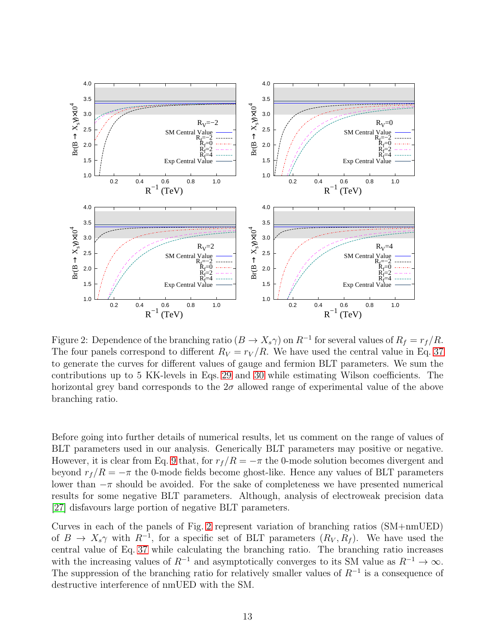

<span id="page-12-0"></span>Figure 2: Dependence of the branching ratio  $(B \to X_s \gamma)$  on  $R^{-1}$  for several values of  $R_f = r_f/R$ . The four panels correspond to different  $R_V = r_V / R$ . We have used the central value in Eq. [37](#page-11-2) to generate the curves for different values of gauge and fermion BLT parameters. We sum the contributions up to 5 KK-levels in Eqs. [29](#page-7-0) and [30](#page-7-1) while estimating Wilson coefficients. The horizontal grey band corresponds to the  $2\sigma$  allowed range of experimental value of the above branching ratio.

Before going into further details of numerical results, let us comment on the range of values of BLT parameters used in our analysis. Generically BLT parameters may positive or negative. However, it is clear from Eq. [9](#page-3-3) that, for  $r_f/R = -\pi$  the 0-mode solution becomes divergent and beyond  $r_f/R = -\pi$  the 0-mode fields become ghost-like. Hence any values of BLT parameters lower than  $-\pi$  should be avoided. For the sake of completeness we have presented numerical results for some negative BLT parameters. Although, analysis of electroweak precision data [\[27\]](#page-21-5) disfavours large portion of negative BLT parameters.

Curves in each of the panels of Fig. [2](#page-12-0) represent variation of branching ratios (SM+nmUED) of  $B \to X_s \gamma$  with  $R^{-1}$ , for a specific set of BLT parameters  $(R_V, R_f)$ . We have used the central value of Eq. [37](#page-11-2) while calculating the branching ratio. The branching ratio increases with the increasing values of  $R^{-1}$  and asymptotically converges to its SM value as  $R^{-1} \to \infty$ . The suppression of the branching ratio for relatively smaller values of  $R^{-1}$  is a consequence of destructive interference of nmUED with the SM.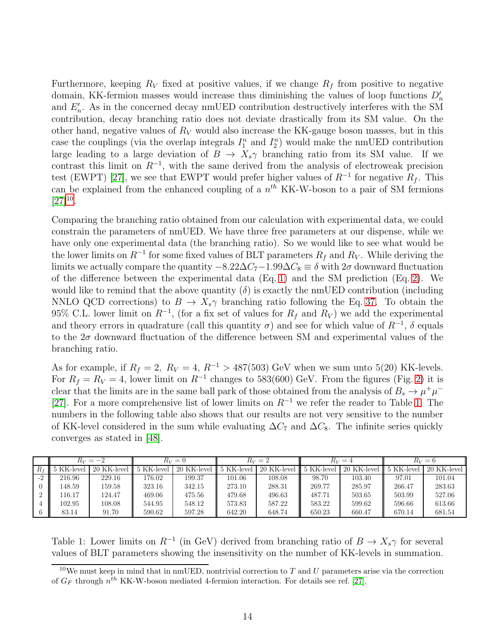Furthermore, keeping  $R_V$  fixed at positive values, if we change  $R_f$  from positive to negative domain, KK-fermion masses would increase thus diminishing the values of loop functions  $D'_n$ and  $E'_{n}$ . As in the concerned decay nmUED contribution destructively interferes with the SM contribution, decay branching ratio does not deviate drastically from its SM value. On the other hand, negative values of  $R_V$  would also increase the KK-gauge boson masses, but in this case the couplings (via the overlap integrals  $I_1^n$  and  $I_2^n$ ) would make the nmUED contribution large leading to a large deviation of  $B \to X_s \gamma$  branching ratio from its SM value. If we contrast this limit on  $R^{-1}$ , with the same derived from the analysis of electroweak precision test (EWPT) [\[27\]](#page-21-5), we see that EWPT would prefer higher values of  $R^{-1}$  for negative  $R_f$ . This can be explained from the enhanced coupling of a  $n^{th}$  KK-W-boson to a pair of SM fermions  $[27]^{10}$  $[27]^{10}$  $[27]^{10}$  $[27]^{10}$ .

Comparing the branching ratio obtained from our calculation with experimental data, we could constrain the parameters of nmUED. We have three free parameters at our dispense, while we have only one experimental data (the branching ratio). So we would like to see what would be the lower limits on  $R^{-1}$  for some fixed values of BLT parameters  $R_f$  and  $R_V$ . While deriving the limits we actually compare the quantity  $-8.22\Delta C_7 - 1.99\Delta C_8 \equiv \delta$  with  $2\sigma$  downward fluctuation of the difference between the experimental data (Eq. [1\)](#page-1-1) and the SM prediction (Eq. [2\)](#page-1-2). We would like to remind that the above quantity  $(\delta)$  is exactly the nmUED contribution (including NNLO QCD corrections) to  $B \to X_s \gamma$  branching ratio following the Eq. [37.](#page-11-2) To obtain the 95% C.L. lower limit on  $R^{-1}$ , (for a fix set of values for  $R_f$  and  $R_V$ ) we add the experimental and theory errors in quadrature (call this quantity  $\sigma$ ) and see for which value of  $R^{-1}$ ,  $\delta$  equals to the  $2\sigma$  downward fluctuation of the difference between SM and experimental values of the branching ratio.

As for example, if  $R_f = 2$ ,  $R_V = 4$ ,  $R^{-1} > 487(503)$  GeV when we sum unto 5(20) KK-levels. For  $R_f = R_V = 4$ , lower limit on  $R^{-1}$  changes to 583(600) GeV. From the figures (Fig. [2\)](#page-12-0) it is clear that the limits are in the same ball park of those obtained from the analysis of  $B_s \to \mu^+\mu^-$ [\[27\]](#page-21-5). For a more comprehensive list of lower limits on  $R^{-1}$  we refer the reader to Table [1.](#page-13-1) The numbers in the following table also shows that our results are not very sensitive to the number of KK-level considered in the sum while evaluating  $\Delta C_7$  and  $\Delta C_8$ . The infinite series quickly converges as stated in [\[48\]](#page-22-6).

|       | $R_V = -2$ |             | $R_V=0$    |                | $R_V=2$    |             | $R_V=4$    |             | $R_V=6$    |             |
|-------|------------|-------------|------------|----------------|------------|-------------|------------|-------------|------------|-------------|
| $R_f$ | 5 KK-level | 20 KK-level | 5 KK-level | KK-level<br>20 | 5 KK-level | 20 KK-level | 5 KK-level | 20 KK-level | 5 KK-level | 20 KK-level |
| $-2$  | 216.96     | 229.16      | 176.02     | 199.37         | 101.06     | 108.08      | 98.70      | 103.40      | 97.01      | 101.04      |
|       | 148.59     | 159.58      | 323.16     | 342.15         | 273.10     | 288.31      | 269.77     | 285.97      | 266.47     | 283.63      |
|       | 116.17     | 124.47      | 469.06     | 475.56         | 479.68     | 496.63      | 487.71     | 503.65      | 503.99     | 527.06      |
|       | 102.95     | 108.08      | 544.95     | 548.12         | 573.83     | 587.22      | 583.22     | 599.62      | 596.66     | 613.66      |
|       | 83.14      | 91.70       | 590.62     | 597.28         | 642.20     | 648.74      | 650.23     | 660.47      | 670.14     | 681.54      |

<span id="page-13-1"></span>Table 1: Lower limits on  $R^{-1}$  (in GeV) derived from branching ratio of  $B \to X_s \gamma$  for several values of BLT parameters showing the insensitivity on the number of KK-levels in summation.

<span id="page-13-0"></span><sup>&</sup>lt;sup>10</sup>We must keep in mind that in nmUED, nontrivial correction to T and U parameters arise via the correction of  $G_F$  through  $n^{\hat{t}h}$  KK-W-boson mediated 4-fermion interaction. For details see ref. [\[27\]](#page-21-5).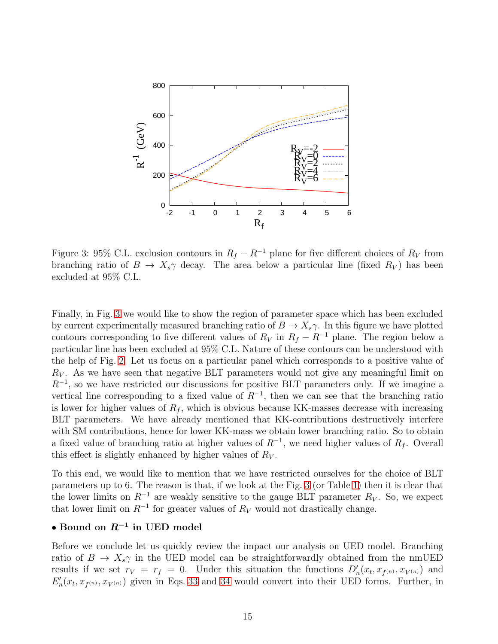

<span id="page-14-0"></span>Figure 3: 95% C.L. exclusion contours in  $R_f - R^{-1}$  plane for five different choices of  $R_V$  from branching ratio of  $B \to X_s \gamma$  decay. The area below a particular line (fixed  $R_V$ ) has been excluded at 95% C.L.

Finally, in Fig. [3](#page-14-0) we would like to show the region of parameter space which has been excluded by current experimentally measured branching ratio of  $B \to X_s \gamma$ . In this figure we have plotted contours corresponding to five different values of  $R_V$  in  $R_f - R^{-1}$  plane. The region below a particular line has been excluded at 95% C.L. Nature of these contours can be understood with the help of Fig. [2.](#page-12-0) Let us focus on a particular panel which corresponds to a positive value of  $R_V$ . As we have seen that negative BLT parameters would not give any meaningful limit on  $R^{-1}$ , so we have restricted our discussions for positive BLT parameters only. If we imagine a vertical line corresponding to a fixed value of  $R^{-1}$ , then we can see that the branching ratio is lower for higher values of  $R_f$ , which is obvious because KK-masses decrease with increasing BLT parameters. We have already mentioned that KK-contributions destructively interfere with SM contributions, hence for lower KK-mass we obtain lower branching ratio. So to obtain a fixed value of branching ratio at higher values of  $R^{-1}$ , we need higher values of  $R_f$ . Overall this effect is slightly enhanced by higher values of  $R_V$ .

To this end, we would like to mention that we have restricted ourselves for the choice of BLT parameters up to 6. The reason is that, if we look at the Fig. [3](#page-14-0) (or Table [1\)](#page-13-1) then it is clear that the lower limits on  $R^{-1}$  are weakly sensitive to the gauge BLT parameter  $R_V$ . So, we expect that lower limit on  $R^{-1}$  for greater values of  $R_V$  would not drastically change.

## • Bound on  $R^{-1}$  in UED model

Before we conclude let us quickly review the impact our analysis on UED model. Branching ratio of  $B \to X_s \gamma$  in the UED model can be straightforwardly obtained from the nmUED results if we set  $r_V = r_f = 0$ . Under this situation the functions  $D'_n(x_t, x_{f^{(n)}}, x_{V^{(n)}})$  and  $E'_{n}(x_t, x_{f^{(n)}}, x_{V^{(n)}})$  given in Eqs. [33](#page-9-0) and [34](#page-10-0) would convert into their UED forms. Further, in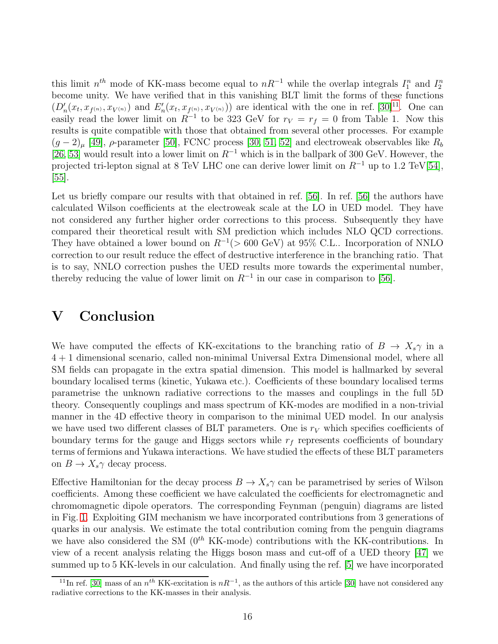this limit  $n^{th}$  mode of KK-mass become equal to  $nR^{-1}$  while the overlap integrals  $I_1^n$  and  $I_2^n$ become unity. We have verified that in this vanishing BLT limit the forms of these functions  $(D'_n(x_t, x_{f^{(n)}}, x_{V^{(n)}})$  and  $E'_n(x_t, x_{f^{(n)}}, x_{V^{(n)}})$  are identical with the one in ref. [\[30\]](#page-21-8)<sup>[11](#page-15-0)</sup>. One can easily read the lower limit on  $R^{-1}$  to be 323 GeV for  $r_V = r_f = 0$  from Table 1. Now this results is quite compatible with those that obtained from several other processes. For example  $(g-2)_{\mu}$  [\[49\]](#page-22-8),  $\rho$ -parameter [\[50\]](#page-22-9), FCNC process [\[30,](#page-21-8) [51,](#page-22-10) [52\]](#page-22-11) and electroweak observables like  $R_b$  $[26, 53]$  $[26, 53]$  would result into a lower limit on  $R^{-1}$  which is in the ballpark of 300 GeV. However, the projected tri-lepton signal at 8 TeV LHC one can derive lower limit on  $R^{-1}$  up to 1.2 TeV[\[54\]](#page-22-13), [\[55\]](#page-22-14).

Let us briefly compare our results with that obtained in ref. [\[56\]](#page-22-15). In ref. [56] the authors have calculated Wilson coefficients at the electroweak scale at the LO in UED model. They have not considered any further higher order corrections to this process. Subsequently they have compared their theoretical result with SM prediction which includes NLO QCD corrections. They have obtained a lower bound on  $R^{-1}$ (>600 GeV) at 95% C.L.. Incorporation of NNLO correction to our result reduce the effect of destructive interference in the branching ratio. That is to say, NNLO correction pushes the UED results more towards the experimental number, thereby reducing the value of lower limit on  $R^{-1}$  in our case in comparison to [\[56\]](#page-22-15).

#### V Conclusion

We have computed the effects of KK-excitations to the branching ratio of  $B \to X_s \gamma$  in a 4 + 1 dimensional scenario, called non-minimal Universal Extra Dimensional model, where all SM fields can propagate in the extra spatial dimension. This model is hallmarked by several boundary localised terms (kinetic, Yukawa etc.). Coefficients of these boundary localised terms parametrise the unknown radiative corrections to the masses and couplings in the full 5D theory. Consequently couplings and mass spectrum of KK-modes are modified in a non-trivial manner in the 4D effective theory in comparison to the minimal UED model. In our analysis we have used two different classes of BLT parameters. One is  $r_V$  which specifies coefficients of boundary terms for the gauge and Higgs sectors while  $r_f$  represents coefficients of boundary terms of fermions and Yukawa interactions. We have studied the effects of these BLT parameters on  $B \to X_s \gamma$  decay process.

Effective Hamiltonian for the decay process  $B \to X_s \gamma$  can be parametrised by series of Wilson coefficients. Among these coefficient we have calculated the coefficients for electromagnetic and chromomagnetic dipole operators. The corresponding Feynman (penguin) diagrams are listed in Fig. [1.](#page-8-0) Exploiting GIM mechanism we have incorporated contributions from 3 generations of quarks in our analysis. We estimate the total contribution coming from the penguin diagrams we have also considered the SM  $(0<sup>th</sup> KK-model)$  contributions with the KK-contributions. In view of a recent analysis relating the Higgs boson mass and cut-off of a UED theory [\[47\]](#page-22-5) we summed up to 5 KK-levels in our calculation. And finally using the ref. [\[5\]](#page-19-4) we have incorporated

<span id="page-15-0"></span><sup>&</sup>lt;sup>11</sup>In ref. [\[30\]](#page-21-8) mass of an  $n^{th}$  KK-excitation is  $nR^{-1}$ , as the authors of this article [30] have not considered any radiative corrections to the KK-masses in their analysis.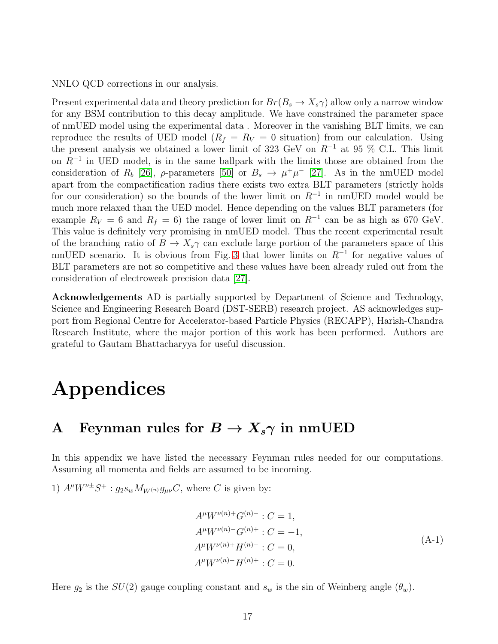NNLO QCD corrections in our analysis.

Present experimental data and theory prediction for  $Br(B_s \to X_s \gamma)$  allow only a narrow window for any BSM contribution to this decay amplitude. We have constrained the parameter space of nmUED model using the experimental data . Moreover in the vanishing BLT limits, we can reproduce the results of UED model ( $R_f = R_V = 0$  situation) from our calculation. Using the present analysis we obtained a lower limit of 323 GeV on  $R^{-1}$  at 95 % C.L. This limit on  $R^{-1}$  in UED model, is in the same ballpark with the limits those are obtained from the consideration of  $R_b$  [\[26\]](#page-21-4),  $\rho$ -parameters [\[50\]](#page-22-9) or  $B_s \to \mu^+\mu^-$  [\[27\]](#page-21-5). As in the nmUED model apart from the compactification radius there exists two extra BLT parameters (strictly holds for our consideration) so the bounds of the lower limit on  $R^{-1}$  in nmUED model would be much more relaxed than the UED model. Hence depending on the values BLT parameters (for example  $R_V = 6$  and  $R_f = 6$ ) the range of lower limit on  $R^{-1}$  can be as high as 670 GeV. This value is definitely very promising in nmUED model. Thus the recent experimental result of the branching ratio of  $B \to X_s \gamma$  can exclude large portion of the parameters space of this nmUED scenario. It is obvious from Fig. [3](#page-14-0) that lower limits on  $R^{-1}$  for negative values of BLT parameters are not so competitive and these values have been already ruled out from the consideration of electroweak precision data [\[27\]](#page-21-5).

Acknowledgements AD is partially supported by Department of Science and Technology, Science and Engineering Research Board (DST-SERB) research project. AS acknowledges support from Regional Centre for Accelerator-based Particle Physics (RECAPP), Harish-Chandra Research Institute, where the major portion of this work has been performed. Authors are grateful to Gautam Bhattacharyya for useful discussion.

# Appendices

#### <span id="page-16-0"></span>A Feynman rules for  $B \to X_s \gamma$  in nmUED

In this appendix we have listed the necessary Feynman rules needed for our computations. Assuming all momenta and fields are assumed to be incoming.

1)  $A^{\mu}W^{\nu\pm}S^{\mp}$ :  $g_2s_wM_{W^{(n)}}g_{\mu\nu}C$ , where C is given by:

$$
A^{\mu}W^{\nu(n)+}G^{(n)-}: C = 1,
$$
  
\n
$$
A^{\mu}W^{\nu(n)-}G^{(n)+}: C = -1,
$$
  
\n
$$
A^{\mu}W^{\nu(n)+}H^{(n)-}: C = 0,
$$
  
\n
$$
A^{\mu}W^{\nu(n)-}H^{(n)+}: C = 0.
$$
\n(4-1)

Here  $g_2$  is the  $SU(2)$  gauge coupling constant and  $s_w$  is the sin of Weinberg angle  $(\theta_w)$ .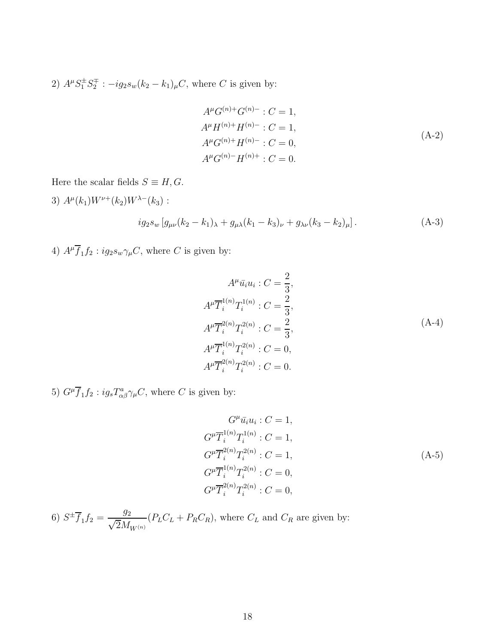2)  $A^{\mu}S_1^{\pm}S_2^{\mp}$  $2^{\frac{\pi}{2}}$ :  $-ig_2s_w(k_2-k_1)_{\mu}C$ , where C is given by:

$$
A^{\mu}G^{(n)+}G^{(n)-}: C = 1,
$$
  
\n
$$
A^{\mu}H^{(n)+}H^{(n)-}: C = 1,
$$
  
\n
$$
A^{\mu}G^{(n)+}H^{(n)-}: C = 0,
$$
  
\n
$$
A^{\mu}G^{(n)-}H^{(n)+}: C = 0.
$$
\n(A-2)

Here the scalar fields  $S \equiv H, G$ .

3)  $A^{\mu}(k_1)W^{\nu+}(k_2)W^{\lambda-}(k_3)$ :  $ig_2s_w [g_{\mu\nu}(k_2 - k_1)_\lambda + g_{\mu\lambda}(k_1 - k_3)_\nu + g_{\lambda\nu}(k_3 - k_2)_\mu].$  (A-3)

4)  $A^{\mu}\overline{f}_1 f_2$ :  $ig_2 s_w \gamma_{\mu} C$ , where C is given by:

$$
A^{\mu}\bar{u}_i u_i : C = \frac{2}{3},
$$
  
\n
$$
A^{\mu}\overline{T}_i^{1(n)}T_i^{1(n)} : C = \frac{2}{3},
$$
  
\n
$$
A^{\mu}\overline{T}_i^{2(n)}T_i^{2(n)} : C = \frac{2}{3},
$$
  
\n
$$
A^{\mu}\overline{T}_i^{1(n)}T_i^{2(n)} : C = 0,
$$
  
\n
$$
A^{\mu}\overline{T}_i^{2(n)}T_i^{2(n)} : C = 0.
$$
  
\n(A-4)

5)  $G^{\mu}\overline{f}_1 f_2$ :  $ig_s T^a_{\alpha\beta} \gamma_{\mu} C$ , where C is given by:

$$
G^{\mu}\bar{u}_i u_i : C = 1,
$$
  
\n
$$
G^{\mu}\bar{T}_i^{(n)}T_i^{(n)} : C = 1,
$$
  
\n
$$
G^{\mu}\bar{T}_i^{2(n)}T_i^{2(n)} : C = 1,
$$
  
\n
$$
G^{\mu}\bar{T}_i^{(n)}T_i^{2(n)} : C = 0,
$$
  
\n
$$
G^{\mu}\bar{T}_i^{2(n)}T_i^{2(n)} : C = 0,
$$
  
\n(A-5)

6)  $S^{\pm} \overline{f}_1 f_2 = \frac{g_2}{\sqrt{2} M}$  $\sqrt{2}M_{W^{(n)}}$  $(P_L C_L + P_R C_R)$ , where  $C_L$  and  $C_R$  are given by: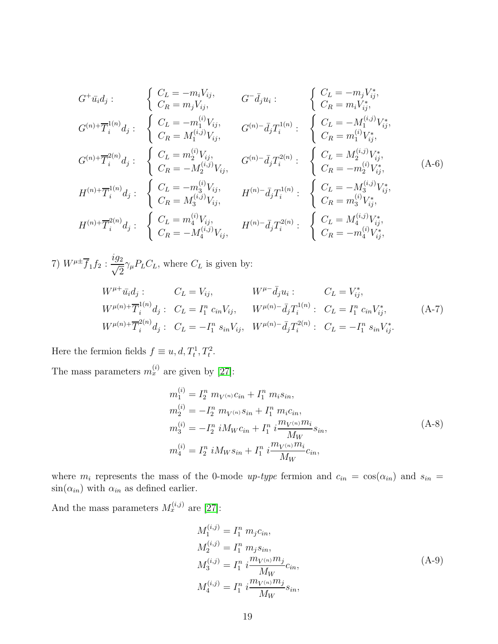$$
G^+ \bar{u}_i d_j: \n\begin{cases}\nC_L = -m_i V_{ij}, & G^- \bar{d}_j u_i: \\
C_R = m_j V_{ij}, & G^- \bar{d}_j u_i: \\
C_R = m_i V_{ij}^*, \\
C_R = M_1^{(i,j)} V_{ij}, & G^{(n)} - \bar{d}_j T_1^{1(n)}: \\
C_R = M_1^{(i,j)} V_{ij}, & G^{(n)} - \bar{d}_j T_1^{1(n)}: \\
C_R = M_1^{(i,j)} V_{ij}, & G^{(n)} - \bar{d}_j T_1^{2(n)}: \\
C_R = m_1^{(i)} V_{ij}^*, & G^{(n)} - \bar{d}_j T_2^{2(n)}: \\
C_R = -M_2^{(i,j)} V_{ij}, & G^{(n)} - \bar{d}_j T_2^{2(n)}: \\
C_R = -M_2^{(i,j)} V_{ij}, & G^{(n)} - \bar{d}_j T_2^{2(n)}: \\
C_R = -M_2^{(i,j)} V_{ij}, & G_R = -m_2^{(i,j)} V_{ij}^*, \\
C_R = M_3^{(i,j)} V_{ij}, & H^{(n)} - \bar{d}_j T_1^{1(n)}: \\
C_R = m_3^{(i,j)} V_{ij}, & G_R = m_3^{(i,j)} V_{ij}^*, \\
H^{(n)} + \overline{T}_i^{2(n)} d_j: \n\begin{cases}\nC_L = m_4^{(i,j)} V_{ij}, & H^{(n)} - \bar{d}_j T_2^{2(n)}: \\
C_R = m_4^{(i,j)} V_{ij}, & G_R = -m_4^{(i,j)} V_{ij}^*, \\
C_R = -M_4^{(i,j)} V_{ij}, & H^{(n)} - \bar{d}_j T_2^{2(n)}: \\
C_R = -m_4^{(i,j)} V_{ij}^*, & G_R = -m_4^{(i,j)} V_{ij}^*,\n\end{cases}
$$
\n
$$
(A-6)
$$

7)  $W^{\mu \pm} \overline{f}_1 f_2 : \frac{ig_2}{\sqrt{2}}$  $\sqrt{2}$  $\gamma_{\mu}P_{L}C_{L}$ , where  $C_{L}$  is given by:

$$
W^{\mu+} \bar{u}_i d_j: \t C_L = V_{ij}, \t W^{\mu-} \bar{d}_j u_i: \t C_L = V_{ij}^*,
$$
  
\n
$$
W^{\mu(n)+} \overline{T}_i^{1(n)} d_j: \t C_L = I_1^n c_{in} V_{ij}, \t W^{\mu(n)-} \bar{d}_j T_i^{1(n)}: \t C_L = I_1^n c_{in} V_{ij}^*,
$$
  
\n
$$
W^{\mu(n)+} \overline{T}_i^{2(n)} d_j: \t C_L = -I_1^n s_{in} V_{ij}, \t W^{\mu(n)-} \bar{d}_j T_i^{2(n)}: \t C_L = -I_1^n s_{in} V_{ij}^*.
$$
\n(A-7)

Here the fermion fields  $f \equiv u, d, T_t^1, T_t^2$ .

The mass parameters  $m_x^{(i)}$  are given by [\[27\]](#page-21-5):

$$
m_1^{(i)} = I_2^n m_{V^{(n)}} c_{in} + I_1^n m_i s_{in},
$$
  
\n
$$
m_2^{(i)} = -I_2^n m_{V^{(n)}} s_{in} + I_1^n m_i c_{in},
$$
  
\n
$$
m_3^{(i)} = -I_2^n i M_W c_{in} + I_1^n i \frac{m_{V^{(n)}} m_i}{M_W} s_{in},
$$
  
\n
$$
m_4^{(i)} = I_2^n i M_W s_{in} + I_1^n i \frac{m_{V^{(n)}} m_i}{M_W} c_{in},
$$
\n(A-8)

where  $m_i$  represents the mass of the 0-mode up-type fermion and  $c_{in} = \cos(\alpha_{in})$  and  $s_{in} =$  $sin(\alpha_{in})$  with  $\alpha_{in}$  as defined earlier.

And the mass parameters  $M_x^{(i,j)}$  are [\[27\]](#page-21-5):

$$
M_1^{(i,j)} = I_1^n m_j c_{in},
$$
  
\n
$$
M_2^{(i,j)} = I_1^n m_j s_{in},
$$
  
\n
$$
M_3^{(i,j)} = I_1^n i \frac{m_{V^{(n)}} m_j}{M_W} c_{in},
$$
  
\n
$$
M_4^{(i,j)} = I_1^n i \frac{m_{V^{(n)}} m_j}{M_W} s_{in},
$$
\n(A-9)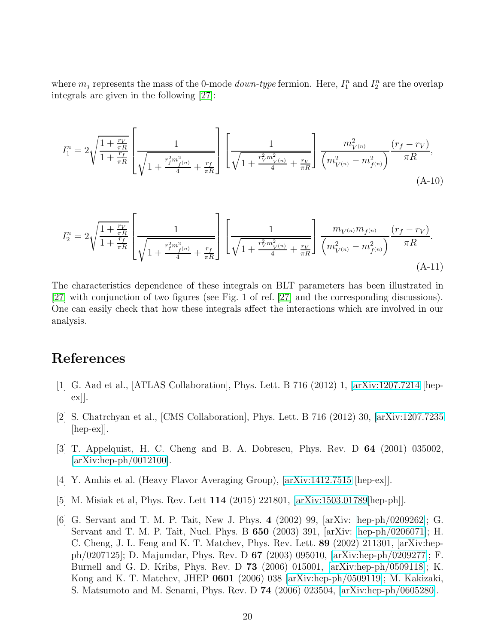where  $m_j$  represents the mass of the 0-mode *down-type* fermion. Here,  $I_1^n$  and  $I_2^n$  are the overlap integrals are given in the following [\[27\]](#page-21-5):

<span id="page-19-6"></span>
$$
I_1^n = 2\sqrt{\frac{1 + \frac{r_V}{\pi R}}{1 + \frac{r_f}{\pi R}}} \left[ \frac{1}{\sqrt{1 + \frac{r_f^2 m_{f(n)}^2}{4} + \frac{r_f}{\pi R}}} \right] \left[ \frac{1}{\sqrt{1 + \frac{r_V^2 m_{V(n)}^2}{4} + \frac{r_V}{\pi R}}} \right] \frac{m_{V(n)}^2}{\left( m_{V(n)}^2 - m_{f(n)}^2 \right)} \frac{(r_f - r_V)}{\pi R},\tag{A-10}
$$

<span id="page-19-7"></span>
$$
I_2^n = 2\sqrt{\frac{1 + \frac{r_V}{\pi R}}{1 + \frac{r_f}{\pi R}}}\left[\frac{1}{\sqrt{1 + \frac{r_f^2 m_{f^{(n)}}^2}{4} + \frac{r_f}{\pi R}}}\right]\left[\frac{1}{\sqrt{1 + \frac{r_V^2 m_{V^{(n)}}^2}{4} + \frac{r_V}{\pi R}}}\right]\frac{m_{V^{(n)}} m_{f^{(n)}}}{\left(m_{V^{(n)}}^2 - m_{f^{(n)}}^2\right)}\frac{(r_f - r_V)}{\pi R}.
$$
\n(A-11)

The characteristics dependence of these integrals on BLT parameters has been illustrated in [\[27\]](#page-21-5) with conjunction of two figures (see Fig. 1 of ref. [\[27\]](#page-21-5) and the corresponding discussions). One can easily check that how these integrals affect the interactions which are involved in our analysis.

#### <span id="page-19-0"></span>References

- <span id="page-19-1"></span>[1] G. Aad et al., [ATLAS Collaboration], Phys. Lett. B 716 (2012) 1, [\[arXiv:1207.7214](http://arxiv.org/abs/1207.7214) [hepex]].
- [2] S. Chatrchyan et al., [CMS Collaboration], Phys. Lett. B 716 (2012) 30, [\[arXiv:1207.7235](http://arxiv.org/abs/1207.7235) [hep-ex]].
- <span id="page-19-3"></span><span id="page-19-2"></span>[3] T. Appelquist, H. C. Cheng and B. A. Dobrescu, Phys. Rev. D 64 (2001) 035002, [\[arXiv:hep-ph/0012100\]](http://arxiv.org/abs/hep-ph/0012100).
- <span id="page-19-4"></span>[4] Y. Amhis et al. (Heavy Flavor Averaging Group), [\[arXiv:1412.7515](http://arxiv.org/abs/1412.7515) [hep-ex]].
- <span id="page-19-5"></span>[5] M. Misiak et al, Phys. Rev. Lett 114 (2015) 221801, [\[arXiv:1503.01789\[](http://arxiv.org/abs/1503.01789)hep-ph]].
- [6] G. Servant and T. M. P. Tait, New J. Phys. 4 (2002) 99, [arXiv: [hep-ph/0209262\]](http://arxiv.org/abs/hep-ph/0209262); G. Servant and T. M. P. Tait, Nucl. Phys. B 650 (2003) 391, [arXiv: [hep-ph/0206071\]](http://arxiv.org/abs/hep-ph/0206071); H. C. Cheng, J. L. Feng and K. T. Matchev, Phys. Rev. Lett. 89 (2002) 211301, [arXiv:hepph/0207125]; D. Majumdar, Phys. Rev. D 67 (2003) 095010, [\[arXiv:hep-ph/0209277\]](http://arxiv.org/abs/hep-ph/0209277); F. Burnell and G. D. Kribs, Phys. Rev. D 73 (2006) 015001, [\[arXiv:hep-ph/0509118\]](http://arxiv.org/abs/hep-ph/0509118); K. Kong and K. T. Matchev, JHEP 0601 (2006) 038 [\[arXiv:hep-ph/0509119\]](http://arxiv.org/abs/hep-ph/0509119); M. Kakizaki, S. Matsumoto and M. Senami, Phys. Rev. D 74 (2006) 023504, [\[arXiv:hep-ph/0605280\]](http://arxiv.org/abs/hep-ph/0605280).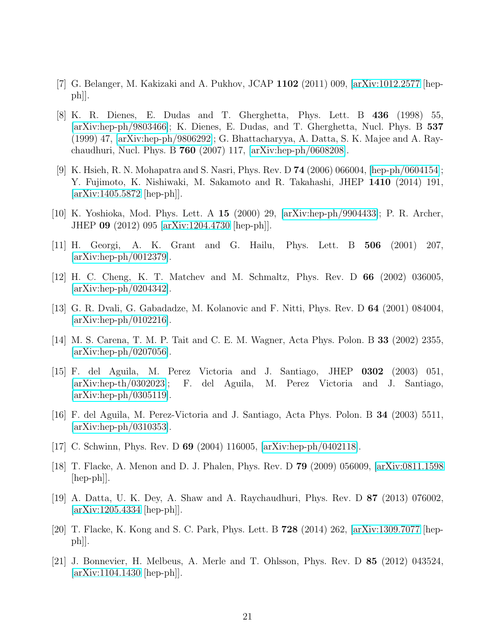- <span id="page-20-1"></span><span id="page-20-0"></span>[7] G. Belanger, M. Kakizaki and A. Pukhov, JCAP 1102 (2011) 009, [\[arXiv:1012.2577](http://arxiv.org/abs/1012.2577) [hepph]].
- [8] K. R. Dienes, E. Dudas and T. Gherghetta, Phys. Lett. B 436 (1998) 55, [\[arXiv:hep-ph/9803466\]](http://arxiv.org/abs/hep-ph/9803466); K. Dienes, E. Dudas, and T. Gherghetta, Nucl. Phys. B 537 (1999) 47, [\[arXiv:hep-ph/9806292\]](http://arxiv.org/abs/hep-ph/9806292); G. Bhattacharyya, A. Datta, S. K. Majee and A. Raychaudhuri, Nucl. Phys. B 760 (2007) 117, [\[arXiv:hep-ph/0608208\]](http://arxiv.org/abs/hep-ph/0608208).
- <span id="page-20-2"></span>[9] K. Hsieh, R. N. Mohapatra and S. Nasri, Phys. Rev. D 74 (2006) 066004, [\[hep-ph/0604154\]](http://arxiv.org/abs/hep-ph/0604154); Y. Fujimoto, K. Nishiwaki, M. Sakamoto and R. Takahashi, JHEP 1410 (2014) 191, [\[arXiv:1405.5872](http://arxiv.org/abs/1405.5872) [hep-ph]].
- <span id="page-20-4"></span><span id="page-20-3"></span>[10] K. Yoshioka, Mod. Phys. Lett. A 15 (2000) 29, [\[arXiv:hep-ph/9904433\]](http://arxiv.org/abs/hep-ph/9904433); P. R. Archer, JHEP 09 (2012) 095 [\[arXiv:1204.4730](http://arxiv.org/abs/1204.4730) [hep-ph]].
- <span id="page-20-5"></span>[11] H. Georgi, A. K. Grant and G. Hailu, Phys. Lett. B 506 (2001) 207, [\[arXiv:hep-ph/0012379\]](http://arxiv.org/abs/hep-ph/0012379).
- <span id="page-20-6"></span>[12] H. C. Cheng, K. T. Matchev and M. Schmaltz, Phys. Rev. D 66 (2002) 036005,  $\arXiv:hep-ph/0204342$ .
- <span id="page-20-13"></span>[13] G. R. Dvali, G. Gabadadze, M. Kolanovic and F. Nitti, Phys. Rev. D 64 (2001) 084004,  $\arXiv:hep-ph/0102216$ .
- [14] M. S. Carena, T. M. P. Tait and C. E. M. Wagner, Acta Phys. Polon. B 33 (2002) 2355, [\[arXiv:hep-ph/0207056\]](http://arxiv.org/abs/hep-ph/0207056).
- [15] F. del Aguila, M. Perez Victoria and J. Santiago, JHEP 0302 (2003) 051, [\[arXiv:hep-th/0302023\]](http://arxiv.org/abs/hep-th/0302023); F. del Aguila, M. Perez Victoria and J. Santiago, [\[arXiv:hep-ph/0305119\]](http://arxiv.org/abs/hep-ph/0305119).
- <span id="page-20-9"></span>[16] F. del Aguila, M. Perez-Victoria and J. Santiago, Acta Phys. Polon. B 34 (2003) 5511, [\[arXiv:hep-ph/0310353\]](http://arxiv.org/abs/hep-ph/0310353).
- <span id="page-20-12"></span><span id="page-20-8"></span>[17] C. Schwinn, Phys. Rev. D 69 (2004) 116005, [\[arXiv:hep-ph/0402118\]](http://arxiv.org/abs/hep-ph/0402118).
- [18] T. Flacke, A. Menon and D. J. Phalen, Phys. Rev. D 79 (2009) 056009, [\[arXiv:0811.1598](http://arxiv.org/abs/0811.1598) [hep-ph]].
- <span id="page-20-7"></span>[19] A. Datta, U. K. Dey, A. Shaw and A. Raychaudhuri, Phys. Rev. D 87 (2013) 076002, [\[arXiv:1205.4334](http://arxiv.org/abs/1205.4334) [hep-ph]].
- <span id="page-20-10"></span>[20] T. Flacke, K. Kong and S. C. Park, Phys. Lett. B 728 (2014) 262, [\[arXiv:1309.7077](http://arxiv.org/abs/1309.7077) [hep $ph$ .
- <span id="page-20-11"></span>[21] J. Bonnevier, H. Melbeus, A. Merle and T. Ohlsson, Phys. Rev. D 85 (2012) 043524, [\[arXiv:1104.1430](http://arxiv.org/abs/1104.1430) [hep-ph]].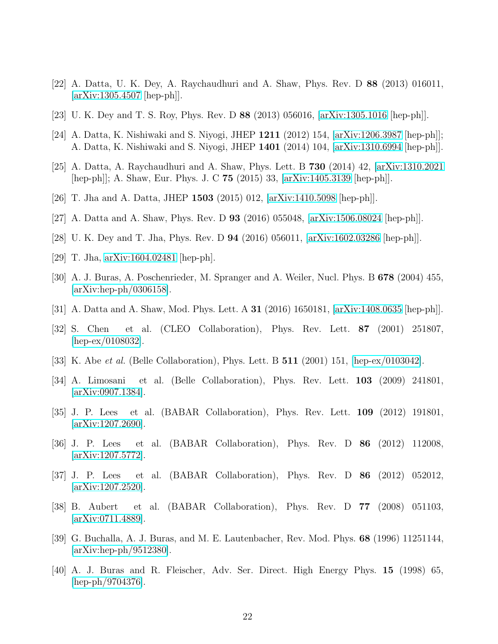- <span id="page-21-1"></span><span id="page-21-0"></span>[22] A. Datta, U. K. Dey, A. Raychaudhuri and A. Shaw, Phys. Rev. D 88 (2013) 016011, [\[arXiv:1305.4507](http://arxiv.org/abs/1305.4507) [hep-ph]].
- <span id="page-21-2"></span>[23] U. K. Dey and T. S. Roy, Phys. Rev. D 88 (2013) 056016, [\[arXiv:1305.1016](http://arxiv.org/abs/1305.1016) [hep-ph]].
- <span id="page-21-3"></span>[24] A. Datta, K. Nishiwaki and S. Niyogi, JHEP 1211 (2012) 154, [\[arXiv:1206.3987](http://arxiv.org/abs/1206.3987) [hep-ph]]; A. Datta, K. Nishiwaki and S. Niyogi, JHEP 1401 (2014) 104, [\[arXiv:1310.6994](http://arxiv.org/abs/1310.6994) [hep-ph]].
- <span id="page-21-4"></span>[25] A. Datta, A. Raychaudhuri and A. Shaw, Phys. Lett. B 730 (2014) 42, [\[arXiv:1310.2021](http://arxiv.org/abs/1310.2021) [hep-ph]]; A. Shaw, Eur. Phys. J. C 75 (2015) 33, [\[arXiv:1405.3139](http://arxiv.org/abs/1405.3139) [hep-ph]].
- <span id="page-21-5"></span>[26] T. Jha and A. Datta, JHEP 1503 (2015) 012, [\[arXiv:1410.5098](http://arxiv.org/abs/1410.5098) [hep-ph]].
- <span id="page-21-6"></span>[27] A. Datta and A. Shaw, Phys. Rev. D 93 (2016) 055048, [\[arXiv:1506.08024](http://arxiv.org/abs/1506.08024) [hep-ph]].
- <span id="page-21-7"></span>[28] U. K. Dey and T. Jha, Phys. Rev. D 94 (2016) 056011, [\[arXiv:1602.03286](http://arxiv.org/abs/1602.03286) [hep-ph]].
- <span id="page-21-8"></span>[29] T. Jha, [arXiv:1604.02481](http://arxiv.org/abs/1604.02481) [hep-ph].
- <span id="page-21-9"></span>[30] A. J. Buras, A. Poschenrieder, M. Spranger and A. Weiler, Nucl. Phys. B 678 (2004) 455, [\[arXiv:hep-ph/0306158\]](http://arxiv.org/abs/hep-ph/0306158).
- <span id="page-21-10"></span>[31] A. Datta and A. Shaw, Mod. Phys. Lett. A 31 (2016) 1650181, [\[arXiv:1408.0635](http://arxiv.org/abs/1408.0635) [hep-ph]].
- [32] S. Chen et al. (CLEO Collaboration), Phys. Rev. Lett. 87 (2001) 251807, [\[hep-ex/0108032\]](http://arxiv.org/abs/hep-ex/0108032).
- <span id="page-21-12"></span><span id="page-21-11"></span>[33] K. Abe *et al.* (Belle Collaboration), Phys. Lett. B **511** (2001) 151, [\[hep-ex/0103042\]](http://arxiv.org/abs/hep-ex/0103042).
- [34] A. Limosani et al. (Belle Collaboration), Phys. Rev. Lett. 103 (2009) 241801, [\[arXiv:0907.1384\]](http://arxiv.org/abs/0907.1384).
- <span id="page-21-13"></span>[35] J. P. Lees et al. (BABAR Collaboration), Phys. Rev. Lett. 109 (2012) 191801, [\[arXiv:1207.2690\]](http://arxiv.org/abs/1207.2690).
- [36] J. P. Lees et al. (BABAR Collaboration), Phys. Rev. D 86 (2012) 112008, [\[arXiv:1207.5772\]](http://arxiv.org/abs/1207.5772).
- [37] J. P. Lees et al. (BABAR Collaboration), Phys. Rev. D 86 (2012) 052012, [\[arXiv:1207.2520\]](http://arxiv.org/abs/1207.2520).
- <span id="page-21-14"></span>[38] B. Aubert et al. (BABAR Collaboration), Phys. Rev. D 77 (2008) 051103, [\[arXiv:0711.4889\]](http://arxiv.org/abs/0711.4889).
- <span id="page-21-15"></span>[39] G. Buchalla, A. J. Buras, and M. E. Lautenbacher, Rev. Mod. Phys. 68 (1996) 11251144, [\[arXiv:hep-ph/9512380\]](http://arxiv.org/abs/hep-ph/9512380).
- <span id="page-21-16"></span>[40] A. J. Buras and R. Fleischer, Adv. Ser. Direct. High Energy Phys. 15 (1998) 65, [\[hep-ph/9704376\]](http://arxiv.org/abs/hep-ph/9704376).